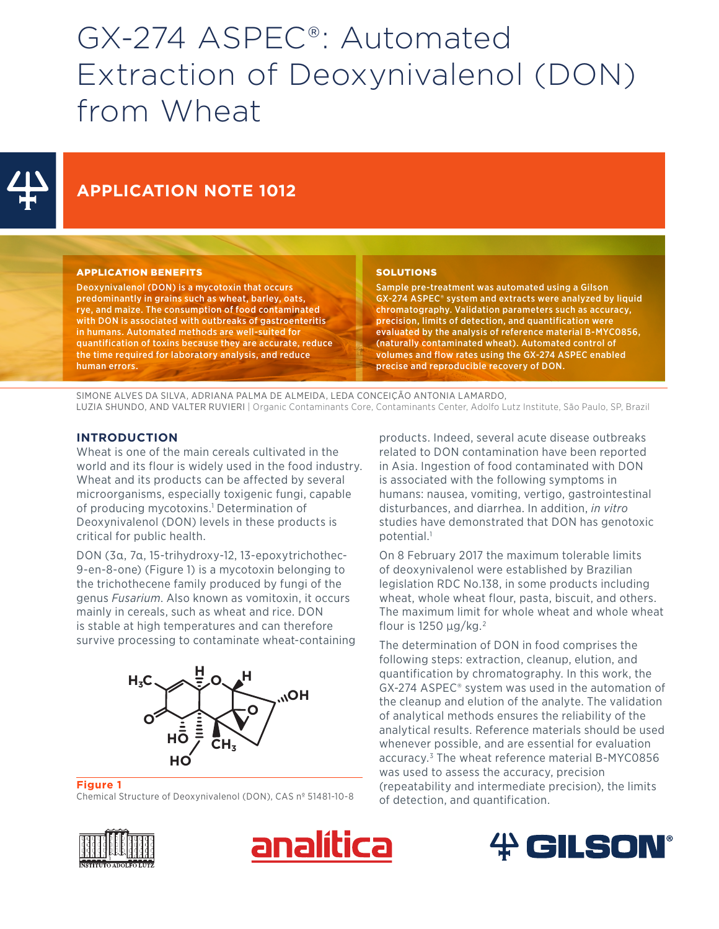# GX-274 ASPEC®: Automated Extraction of Deoxynivalenol (DON) from Wheat



# **APPLICATION NOTE 1012**

#### APPLICATION BENEFITS

Deoxynivalenol (DON) is a mycotoxin that occurs predominantly in grains such as wheat, barley, oats, rye, and maize. The consumption of food contaminated with DON is associated with outbreaks of gastroenteritis in humans. Automated methods are well-suited for quantification of toxins because they are accurate, reduce the time required for laboratory analysis, and reduce human errors.

#### **SOLUTIONS**

Sample pre-treatment was automated using a Gilson GX-274 ASPEC® system and extracts were analyzed by liquid chromatography. Validation parameters such as accuracy, precision, limits of detection, and quantification were evaluated by the analysis of reference material B-MYC0856, (naturally contaminated wheat). Automated control of volumes and flow rates using the GX-274 ASPEC enabled precise and reproducible recovery of DON.

SIMONE ALVES DA SILVA, ADRIANA PALMA DE ALMEIDA, LEDA CONCEIÇÃO ANTONIA LAMARDO, LUZIA SHUNDO, AND VALTER RUVIERI | Organic Contaminants Core, Contaminants Center, Adolfo Lutz Institute, São Paulo, SP, Brazil

#### **INTRODUCTION**

Wheat is one of the main cereals cultivated in the world and its flour is widely used in the food industry. Wheat and its products can be affected by several microorganisms, especially toxigenic fungi, capable of producing mycotoxins.<sup>1</sup> Determination of Deoxynivalenol (DON) levels in these products is critical for public health.

DON (3α, 7α, 15-trihydroxy-12, 13-epoxytrichothec-9-en-8-one) (Figure 1) is a mycotoxin belonging to the trichothecene family produced by fungi of the genus *Fusarium*. Also known as vomitoxin, it occurs mainly in cereals, such as wheat and rice. DON is stable at high temperatures and can therefore survive processing to contaminate wheat-containing



#### **Figure 1**

Chemical Structure of Deoxynivalenol (DON), CAS nº 51481-10-8

products. Indeed, several acute disease outbreaks related to DON contamination have been reported in Asia. Ingestion of food contaminated with DON is associated with the following symptoms in humans: nausea, vomiting, vertigo, gastrointestinal disturbances, and diarrhea. In addition, *in vitro* studies have demonstrated that DON has genotoxic potential.1

On 8 February 2017 the maximum tolerable limits of deoxynivalenol were established by Brazilian legislation RDC No.138, in some products including wheat, whole wheat flour, pasta, biscuit, and others. The maximum limit for whole wheat and whole wheat flour is 1250  $\mu$ g/kg.<sup>2</sup>

The determination of DON in food comprises the following steps: extraction, cleanup, elution, and quantification by chromatography. In this work, the GX-274 ASPEC® system was used in the automation of the cleanup and elution of the analyte. The validation of analytical methods ensures the reliability of the analytical results. Reference materials should be used whenever possible, and are essential for evaluation accuracy.3 The wheat reference material B-MYC0856 was used to assess the accuracy, precision (repeatability and intermediate precision), the limits of detection, and quantification.





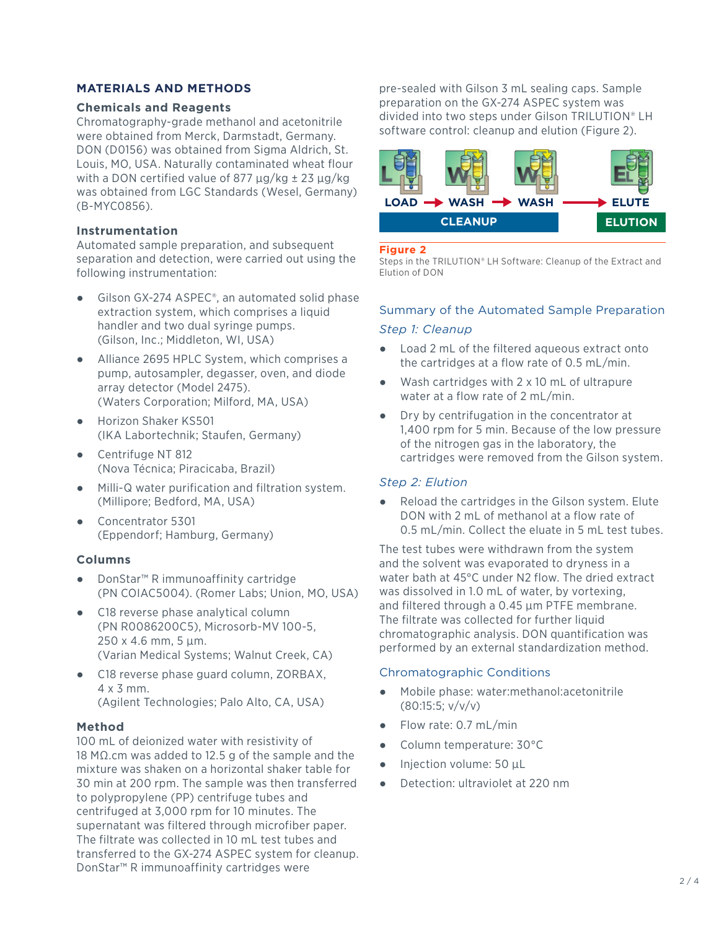# **MATERIALS AND METHODS**

## **Chemicals and Reagents**

Chromatography-grade methanol and acetonitrile were obtained from Merck, Darmstadt, Germany. DON (D0156) was obtained from Sigma Aldrich, St. Louis, MO, USA. Naturally contaminated wheat flour with a DON certified value of 877  $\mu$ g/kg  $\pm$  23  $\mu$ g/kg was obtained from LGC Standards (Wesel, Germany) (B-MYC0856).

# **Instrumentation**

Automated sample preparation, and subsequent separation and detection, were carried out using the following instrumentation:

- Gilson GX-274 ASPEC<sup>®</sup>, an automated solid phase extraction system, which comprises a liquid handler and two dual syringe pumps. (Gilson, Inc.; Middleton, WI, USA)
- Alliance 2695 HPLC System, which comprises a pump, autosampler, degasser, oven, and diode array detector (Model 2475). (Waters Corporation; Milford, MA, USA)
- Horizon Shaker KS501 (IKA Labortechnik; Staufen, Germany)
- Centrifuge NT 812 (Nova Técnica; Piracicaba, Brazil)
- Milli-Q water purification and filtration system. (Millipore; Bedford, MA, USA)
- Concentrator 5301 (Eppendorf; Hamburg, Germany)

# **Columns**

- DonStar™ R immunoaffinity cartridge (PN COIAC5004). (Romer Labs; Union, MO, USA)
- C18 reverse phase analytical column (PN R0086200C5), Microsorb-MV 100-5, 250 x 4.6 mm, 5 µm. (Varian Medical Systems; Walnut Creek, CA)
- C18 reverse phase guard column, ZORBAX, 4 x 3 mm. (Agilent Technologies; Palo Alto, CA, USA)

# **Method**

100 mL of deionized water with resistivity of 18 MΩ.cm was added to 12.5 g of the sample and the mixture was shaken on a horizontal shaker table for 30 min at 200 rpm. The sample was then transferred to polypropylene (PP) centrifuge tubes and centrifuged at 3,000 rpm for 10 minutes. The supernatant was filtered through microfiber paper. The filtrate was collected in 10 mL test tubes and transferred to the GX-274 ASPEC system for cleanup. DonStar™ R immunoaffinity cartridges were

pre-sealed with Gilson 3 mL sealing caps. Sample preparation on the GX-274 ASPEC system was divided into two steps under Gilson TRILUTION® LH software control: cleanup and elution (Figure 2).



#### **Figure 2**

Steps in the TRILUTION® LH Software: Cleanup of the Extract and Elution of DON

# Summary of the Automated Sample Preparation *Step 1: Cleanup*

- Load 2 mL of the filtered aqueous extract onto the cartridges at a flow rate of 0.5 mL/min.
- Wash cartridges with  $2 \times 10$  mL of ultrapure water at a flow rate of 2 mL/min.
- Dry by centrifugation in the concentrator at 1,400 rpm for 5 min. Because of the low pressure of the nitrogen gas in the laboratory, the cartridges were removed from the Gilson system.

# *Step 2: Elution*

Reload the cartridges in the Gilson system. Elute DON with 2 mL of methanol at a flow rate of 0.5 mL/min. Collect the eluate in 5 mL test tubes.

The test tubes were withdrawn from the system and the solvent was evaporated to dryness in a water bath at 45°C under N2 flow. The dried extract was dissolved in 1.0 mL of water, by vortexing, and filtered through a 0.45 μm PTFE membrane. The filtrate was collected for further liquid chromatographic analysis. DON quantification was performed by an external standardization method.

# Chromatographic Conditions

- Mobile phase: water:methanol:acetonitrile (80:15:5; v/v/v)
- Flow rate: 0.7 mL/min
- Column temperature: 30°C
- Injection volume: 50 µL
- Detection: ultraviolet at 220 nm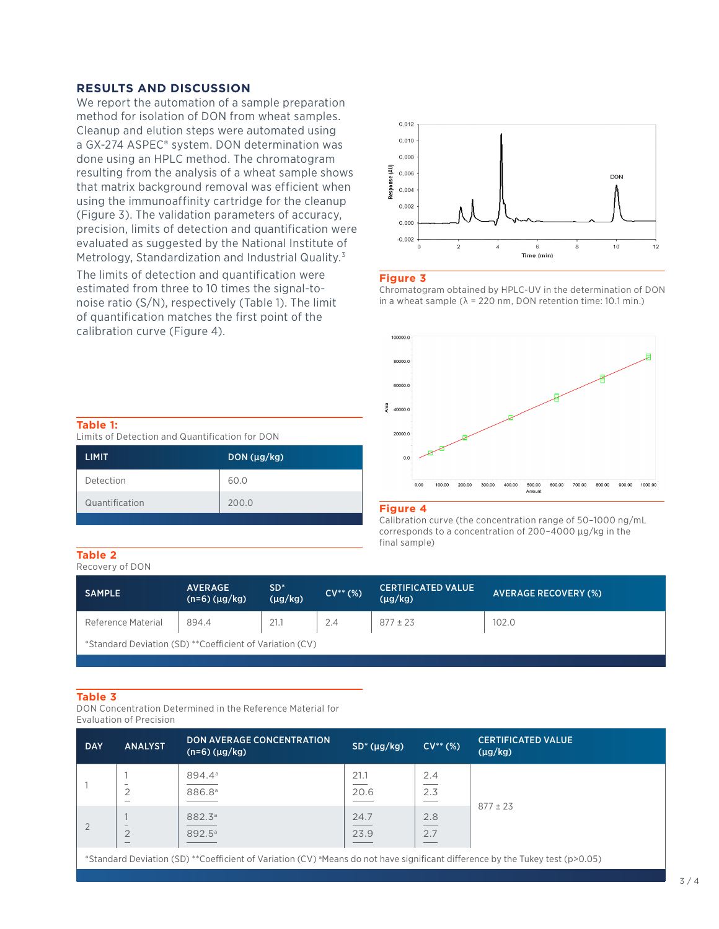#### **RESULTS AND DISCUSSION**

We report the automation of a sample preparation method for isolation of DON from wheat samples. Cleanup and elution steps were automated using a GX-274 ASPEC® system. DON determination was done using an HPLC method. The chromatogram resulting from the analysis of a wheat sample shows that matrix background removal was efficient when using the immunoaffinity cartridge for the cleanup (Figure 3). The validation parameters of accuracy, precision, limits of detection and quantification were evaluated as suggested by the National Institute of Metrology, Standardization and Industrial Quality.3

The limits of detection and quantification were estimated from three to 10 times the signal-tonoise ratio (S/N), respectively (Table 1). The limit of quantification matches the first point of the calibration curve (Figure 4).



#### **Figure 3**

Chromatogram obtained by HPLC-UV in the determination of DON in a wheat sample ( $\lambda$  = 220 nm, DON retention time: 10.1 min.)



#### **Figure 4**

Calibration curve (the concentration range of 50–1000 ng/mL corresponds to a concentration of 200–4000 µg/kg in the final sample)

#### **Table 1:**

Limits of Detection and Quantification for DON

| <b>LIMIT</b>   | DON(µg/kg) |
|----------------|------------|
| Detection      | 60.0       |
| Quantification | 200.0      |

#### **Table 2**

Recovery of DON

| SAMPLE                                                   | <b>AVERAGE</b><br>$(n=6)$ ( $\mu$ g/kg) | $SD^*$<br>$(\mu q/kg)$ | $CV^{**}(%)$ | <b>CERTIFICATED VALUE</b><br>$(\mu g/kg)$ | <b>AVERAGE RECOVERY (%)</b> |  |
|----------------------------------------------------------|-----------------------------------------|------------------------|--------------|-------------------------------------------|-----------------------------|--|
| Reference Material                                       | 894.4                                   | 21.1                   | 2.4          | $877 \pm 23$                              | 102.0                       |  |
| *Standard Deviation (SD) **Coefficient of Variation (CV) |                                         |                        |              |                                           |                             |  |

#### **Table 3**

DON Concentration Determined in the Reference Material for Evaluation of Precision

| <b>DAY</b> | <b>ANALYST</b>                                                         | <b>DON AVERAGE CONCENTRATION</b><br>$(n=6)$ ( $\mu$ g/kg)                                                                                                                                                                                                                                                                                                                                                                                                   | SD <sup>*</sup> (µg/kg) | $CV^{**}(%)$                                                       | <b>CERTIFICATED VALUE</b><br>$(\mu g/kg)$             |  |
|------------|------------------------------------------------------------------------|-------------------------------------------------------------------------------------------------------------------------------------------------------------------------------------------------------------------------------------------------------------------------------------------------------------------------------------------------------------------------------------------------------------------------------------------------------------|-------------------------|--------------------------------------------------------------------|-------------------------------------------------------|--|
|            | -<br>$\overline{2}$<br>$\overline{\phantom{a}}$                        | 894.4 <sup>a</sup><br>886.8ª                                                                                                                                                                                                                                                                                                                                                                                                                                | 21.1<br>20.6            | 2.4<br>2.3                                                         | $877 \pm 23$                                          |  |
|            | $\overline{\phantom{a}}$<br>$\overline{2}$<br>$\overline{\phantom{a}}$ | 882.3 <sup>a</sup><br>892.5 <sup>a</sup>                                                                                                                                                                                                                                                                                                                                                                                                                    | 24.7<br>23.9            | 2.8<br>$\overline{\phantom{a}}$<br>2.7<br>$\overline{\phantom{a}}$ |                                                       |  |
|            |                                                                        | $\mathcal{L}(\mathcal{L}(\mathcal{L})) = \mathcal{L}(\mathcal{L}(\mathcal{L}(\mathcal{L})) = \mathcal{L}(\mathcal{L}(\mathcal{L}(\mathcal{L}(\mathcal{L}(\mathcal{L}(\mathcal{L}(\mathcal{L}(\mathcal{L}(\mathcal{L}(\mathcal{L}(\mathcal{L}(\mathcal{L}(\mathcal{L}(\mathcal{L}(\mathcal{L}(\mathcal{L}(\mathcal{L}(\mathcal{L}(\mathcal{L}(\mathcal{L}(\mathcal{L}(\mathcal{L}(\mathcal{L}(\mathcal{L}(\mathcal{L}(\mathcal{L}(\mathcal{L}(\mathcal{L}(\$ |                         |                                                                    | $\cdots$ $\cdots$ $\cdots$ $\cdots$ $\cdots$ $\cdots$ |  |

\*Standard Deviation (SD) \*\*Coefficient of Variation (CV) a Means do not have significant difference by the Tukey test (p>0.05)